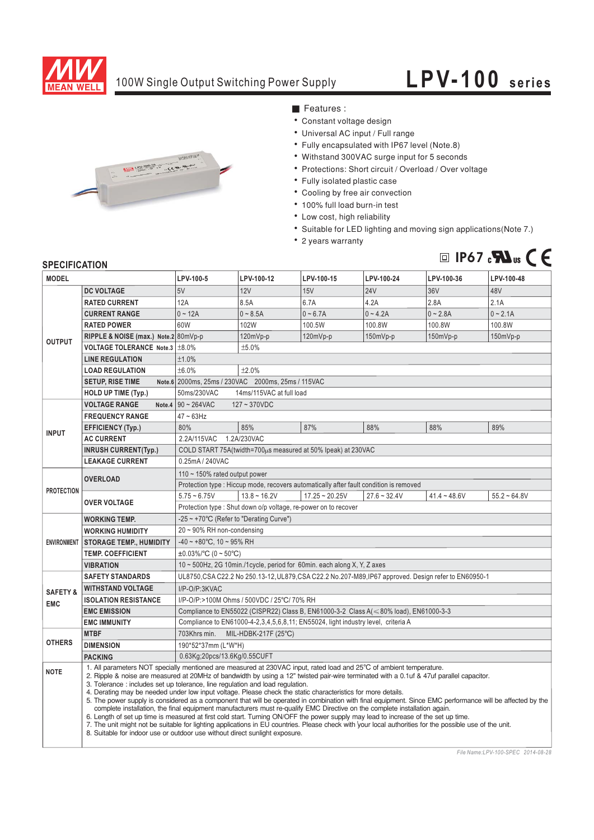

## 100W Single Output Switching Power Supply

## **LPV-100 series**



■ Features :

- Constant voltage design
- Universal AC input / Full range
- Fully encapsulated with IP67 level (Note.8)
- Withstand 300VAC surge input for 5 seconds
- Protections: Short circuit / Overload / Over voltage
- Fully isolated plastic case
- Cooling by free air convection
- 100% full load burn-in test
- Low cost, high reliability
- Suitable for LED lighting and moving sign applications (Note 7.)
- 2 years warranty



## **SPECIFICATION**

| <b>MODEL</b>                      |                                                                                                                                                                                                                                                                                                                                                                                                                                                                                                                                                                                                                                                                                                                                                                                                                                                                                                                                                                                                                                                                                                                                              | LPV-100-5                                                                                             | LPV-100-12     | LPV-100-15       | LPV-100-24     | LPV-100-36     | LPV-100-48     |
|-----------------------------------|----------------------------------------------------------------------------------------------------------------------------------------------------------------------------------------------------------------------------------------------------------------------------------------------------------------------------------------------------------------------------------------------------------------------------------------------------------------------------------------------------------------------------------------------------------------------------------------------------------------------------------------------------------------------------------------------------------------------------------------------------------------------------------------------------------------------------------------------------------------------------------------------------------------------------------------------------------------------------------------------------------------------------------------------------------------------------------------------------------------------------------------------|-------------------------------------------------------------------------------------------------------|----------------|------------------|----------------|----------------|----------------|
| <b>OUTPUT</b>                     | <b>DC VOLTAGE</b>                                                                                                                                                                                                                                                                                                                                                                                                                                                                                                                                                                                                                                                                                                                                                                                                                                                                                                                                                                                                                                                                                                                            | 5V                                                                                                    | 12V            | 15V              | <b>24V</b>     | 36V            | 48V            |
|                                   | <b>RATED CURRENT</b>                                                                                                                                                                                                                                                                                                                                                                                                                                                                                                                                                                                                                                                                                                                                                                                                                                                                                                                                                                                                                                                                                                                         | 12A                                                                                                   | 8.5A           | 6.7A             | 4.2A           | 2.8A           | 2.1A           |
|                                   | <b>CURRENT RANGE</b>                                                                                                                                                                                                                                                                                                                                                                                                                                                                                                                                                                                                                                                                                                                                                                                                                                                                                                                                                                                                                                                                                                                         | $0 - 12A$                                                                                             | $0 - 8.5A$     | $0 - 6.7A$       | $0 - 4.2A$     | $0 - 2.8A$     | $0 - 2.1A$     |
|                                   | <b>RATED POWER</b>                                                                                                                                                                                                                                                                                                                                                                                                                                                                                                                                                                                                                                                                                                                                                                                                                                                                                                                                                                                                                                                                                                                           | 60W                                                                                                   | 102W           | 100.5W           | 100.8W         | 100.8W         | 100.8W         |
|                                   | RIPPLE & NOISE (max.) Note.2 80mVp-p                                                                                                                                                                                                                                                                                                                                                                                                                                                                                                                                                                                                                                                                                                                                                                                                                                                                                                                                                                                                                                                                                                         |                                                                                                       | 120mVp-p       | 120mVp-p         | $150mVp-p$     | 150mVp-p       | $150mVp-p$     |
|                                   | VOLTAGE TOLERANCE Note.3   ±8.0%                                                                                                                                                                                                                                                                                                                                                                                                                                                                                                                                                                                                                                                                                                                                                                                                                                                                                                                                                                                                                                                                                                             | ±5.0%                                                                                                 |                |                  |                |                |                |
|                                   | <b>LINE REGULATION</b>                                                                                                                                                                                                                                                                                                                                                                                                                                                                                                                                                                                                                                                                                                                                                                                                                                                                                                                                                                                                                                                                                                                       | ±1.0%                                                                                                 |                |                  |                |                |                |
|                                   | <b>LOAD REGULATION</b>                                                                                                                                                                                                                                                                                                                                                                                                                                                                                                                                                                                                                                                                                                                                                                                                                                                                                                                                                                                                                                                                                                                       | ±6.0%<br>±2.0%                                                                                        |                |                  |                |                |                |
|                                   | <b>SETUP, RISE TIME</b>                                                                                                                                                                                                                                                                                                                                                                                                                                                                                                                                                                                                                                                                                                                                                                                                                                                                                                                                                                                                                                                                                                                      | Note.6 2000ms, 25ms / 230VAC 2000ms, 25ms / 115VAC                                                    |                |                  |                |                |                |
|                                   | <b>HOLD UP TIME (Typ.)</b>                                                                                                                                                                                                                                                                                                                                                                                                                                                                                                                                                                                                                                                                                                                                                                                                                                                                                                                                                                                                                                                                                                                   | 50ms/230VAC<br>14ms/115VAC at full load                                                               |                |                  |                |                |                |
| <b>INPUT</b>                      | <b>VOLTAGE RANGE</b>                                                                                                                                                                                                                                                                                                                                                                                                                                                                                                                                                                                                                                                                                                                                                                                                                                                                                                                                                                                                                                                                                                                         | Note.4 $90 - 264$ VAC<br>$127 - 370VDC$                                                               |                |                  |                |                |                |
|                                   | <b>FREQUENCY RANGE</b>                                                                                                                                                                                                                                                                                                                                                                                                                                                                                                                                                                                                                                                                                                                                                                                                                                                                                                                                                                                                                                                                                                                       | $47 - 63$ Hz                                                                                          |                |                  |                |                |                |
|                                   | <b>EFFICIENCY (Typ.)</b>                                                                                                                                                                                                                                                                                                                                                                                                                                                                                                                                                                                                                                                                                                                                                                                                                                                                                                                                                                                                                                                                                                                     | 80%                                                                                                   | 85%            | 87%              | 88%            | 88%            | 89%            |
|                                   | <b>AC CURRENT</b>                                                                                                                                                                                                                                                                                                                                                                                                                                                                                                                                                                                                                                                                                                                                                                                                                                                                                                                                                                                                                                                                                                                            | 2.2A/115VAC<br>1.2A/230VAC                                                                            |                |                  |                |                |                |
|                                   | <b>INRUSH CURRENT(Typ.)</b>                                                                                                                                                                                                                                                                                                                                                                                                                                                                                                                                                                                                                                                                                                                                                                                                                                                                                                                                                                                                                                                                                                                  | COLD START 75A(twidth=700µs measured at 50% Ipeak) at 230VAC                                          |                |                  |                |                |                |
|                                   | <b>LEAKAGE CURRENT</b>                                                                                                                                                                                                                                                                                                                                                                                                                                                                                                                                                                                                                                                                                                                                                                                                                                                                                                                                                                                                                                                                                                                       | 0.25mA / 240VAC                                                                                       |                |                  |                |                |                |
| <b>PROTECTION</b>                 | <b>OVERLOAD</b>                                                                                                                                                                                                                                                                                                                                                                                                                                                                                                                                                                                                                                                                                                                                                                                                                                                                                                                                                                                                                                                                                                                              | 110 ~ 150% rated output power                                                                         |                |                  |                |                |                |
|                                   |                                                                                                                                                                                                                                                                                                                                                                                                                                                                                                                                                                                                                                                                                                                                                                                                                                                                                                                                                                                                                                                                                                                                              | Protection type : Hiccup mode, recovers automatically after fault condition is removed                |                |                  |                |                |                |
|                                   | <b>OVER VOLTAGE</b>                                                                                                                                                                                                                                                                                                                                                                                                                                                                                                                                                                                                                                                                                                                                                                                                                                                                                                                                                                                                                                                                                                                          | $5.75 - 6.75V$                                                                                        | $13.8 - 16.2V$ | $17.25 - 20.25V$ | $27.6 - 32.4V$ | $41.4 - 48.6V$ | $55.2 - 64.8V$ |
|                                   |                                                                                                                                                                                                                                                                                                                                                                                                                                                                                                                                                                                                                                                                                                                                                                                                                                                                                                                                                                                                                                                                                                                                              | Protection type : Shut down o/p voltage, re-power on to recover                                       |                |                  |                |                |                |
| <b>ENVIRONMENT</b>                | <b>WORKING TEMP.</b>                                                                                                                                                                                                                                                                                                                                                                                                                                                                                                                                                                                                                                                                                                                                                                                                                                                                                                                                                                                                                                                                                                                         | -25 ~ +70°C (Refer to "Derating Curve")                                                               |                |                  |                |                |                |
|                                   | <b>WORKING HUMIDITY</b>                                                                                                                                                                                                                                                                                                                                                                                                                                                                                                                                                                                                                                                                                                                                                                                                                                                                                                                                                                                                                                                                                                                      | $20 \sim 90\%$ RH non-condensing                                                                      |                |                  |                |                |                |
|                                   | <b>STORAGE TEMP., HUMIDITY</b>                                                                                                                                                                                                                                                                                                                                                                                                                                                                                                                                                                                                                                                                                                                                                                                                                                                                                                                                                                                                                                                                                                               | $-40 \sim +80^{\circ}$ C, 10 ~ 95% RH                                                                 |                |                  |                |                |                |
|                                   | <b>TEMP, COEFFICIENT</b>                                                                                                                                                                                                                                                                                                                                                                                                                                                                                                                                                                                                                                                                                                                                                                                                                                                                                                                                                                                                                                                                                                                     | $\pm 0.03\%$ /°C (0 ~ 50°C)                                                                           |                |                  |                |                |                |
|                                   | <b>VIBRATION</b>                                                                                                                                                                                                                                                                                                                                                                                                                                                                                                                                                                                                                                                                                                                                                                                                                                                                                                                                                                                                                                                                                                                             | 10 ~ 500Hz, 2G 10min./1cycle, period for 60min. each along X, Y, Z axes                               |                |                  |                |                |                |
| <b>SAFETY &amp;</b><br><b>EMC</b> | <b>SAFETY STANDARDS</b>                                                                                                                                                                                                                                                                                                                                                                                                                                                                                                                                                                                                                                                                                                                                                                                                                                                                                                                                                                                                                                                                                                                      | UL8750, CSA C22.2 No 250.13-12, UL879, CSA C22.2 No.207-M89, IP67 approved. Design refer to EN60950-1 |                |                  |                |                |                |
|                                   | <b>WITHSTAND VOLTAGE</b>                                                                                                                                                                                                                                                                                                                                                                                                                                                                                                                                                                                                                                                                                                                                                                                                                                                                                                                                                                                                                                                                                                                     | I/P-O/P:3KVAC                                                                                         |                |                  |                |                |                |
|                                   | <b>ISOLATION RESISTANCE</b>                                                                                                                                                                                                                                                                                                                                                                                                                                                                                                                                                                                                                                                                                                                                                                                                                                                                                                                                                                                                                                                                                                                  | I/P-O/P:>100M Ohms / 500VDC / 25°C/ 70% RH                                                            |                |                  |                |                |                |
|                                   | <b>EMC EMISSION</b>                                                                                                                                                                                                                                                                                                                                                                                                                                                                                                                                                                                                                                                                                                                                                                                                                                                                                                                                                                                                                                                                                                                          | Compliance to EN55022 (CISPR22) Class B, EN61000-3-2 Class A( $\leq 80\%$ load), EN61000-3-3          |                |                  |                |                |                |
|                                   | <b>EMC IMMUNITY</b>                                                                                                                                                                                                                                                                                                                                                                                                                                                                                                                                                                                                                                                                                                                                                                                                                                                                                                                                                                                                                                                                                                                          | Compliance to EN61000-4-2,3,4,5,6,8,11; EN55024, light industry level, criteria A                     |                |                  |                |                |                |
| <b>OTHERS</b>                     | <b>MTBF</b>                                                                                                                                                                                                                                                                                                                                                                                                                                                                                                                                                                                                                                                                                                                                                                                                                                                                                                                                                                                                                                                                                                                                  | 703Khrs min. MIL-HDBK-217F (25°C)                                                                     |                |                  |                |                |                |
|                                   | <b>DIMENSION</b>                                                                                                                                                                                                                                                                                                                                                                                                                                                                                                                                                                                                                                                                                                                                                                                                                                                                                                                                                                                                                                                                                                                             | 190*52*37mm (L*W*H)                                                                                   |                |                  |                |                |                |
|                                   | <b>PACKING</b>                                                                                                                                                                                                                                                                                                                                                                                                                                                                                                                                                                                                                                                                                                                                                                                                                                                                                                                                                                                                                                                                                                                               | 0.63Kg;20pcs/13.6Kg/0.55CUFT                                                                          |                |                  |                |                |                |
| <b>NOTE</b>                       | 1. All parameters NOT specially mentioned are measured at 230VAC input, rated load and 25°C of ambient temperature.<br>2. Ripple & noise are measured at 20MHz of bandwidth by using a 12" twisted pair-wire terminated with a 0.1uf & 47uf parallel capacitor.<br>3. Tolerance : includes set up tolerance, line regulation and load regulation.<br>4. Derating may be needed under low input voltage. Please check the static characteristics for more details.<br>5. The power supply is considered as a component that will be operated in combination with final equipment. Since EMC performance will be affected by the<br>complete installation, the final equipment manufacturers must re-qualify EMC Directive on the complete installation again.<br>6. Length of set up time is measured at first cold start. Turning ON/OFF the power supply may lead to increase of the set up time.<br>7. The unit might not be suitable for lighting applications in EU countries. Please check with your local authorities for the possible use of the unit.<br>8. Suitable for indoor use or outdoor use without direct sunlight exposure. |                                                                                                       |                |                  |                |                |                |

*File Name:LPV-100-SPEC 2014-08-28*